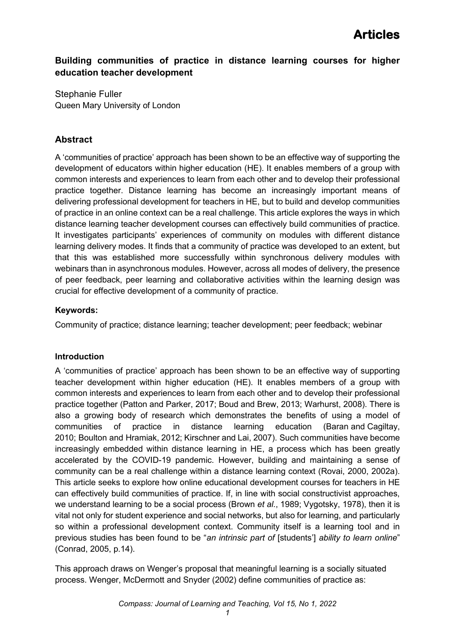# **Building communities of practice in distance learning courses for higher education teacher development**

Stephanie Fuller Queen Mary University of London

# **Abstract**

A 'communities of practice' approach has been shown to be an effective way of supporting the development of educators within higher education (HE). It enables members of a group with common interests and experiences to learn from each other and to develop their professional practice together. Distance learning has become an increasingly important means of delivering professional development for teachers in HE, but to build and develop communities of practice in an online context can be a real challenge. This article explores the ways in which distance learning teacher development courses can effectively build communities of practice. It investigates participants' experiences of community on modules with different distance learning delivery modes. It finds that a community of practice was developed to an extent, but that this was established more successfully within synchronous delivery modules with webinars than in asynchronous modules. However, across all modes of delivery, the presence of peer feedback, peer learning and collaborative activities within the learning design was crucial for effective development of a community of practice.

### **Keywords:**

Community of practice; distance learning; teacher development; peer feedback; webinar

### **Introduction**

A 'communities of practice' approach has been shown to be an effective way of supporting teacher development within higher education (HE). It enables members of a group with common interests and experiences to learn from each other and to develop their professional practice together (Patton and Parker, 2017; Boud and Brew, 2013; Warhurst, 2008). There is also a growing body of research which demonstrates the benefits of using a model of communities of practice in distance learning education (Baran and Cagiltay, 2010; Boulton and Hramiak, 2012; Kirschner and Lai, 2007). Such communities have become increasingly embedded within distance learning in HE, a process which has been greatly accelerated by the COVID-19 pandemic. However, building and maintaining a sense of community can be a real challenge within a distance learning context (Rovai, 2000, 2002a). This article seeks to explore how online educational development courses for teachers in HE can effectively build communities of practice. If, in line with social constructivist approaches, we understand learning to be a social process (Brown *et al*., 1989; Vygotsky, 1978), then it is vital not only for student experience and social networks, but also for learning, and particularly so within a professional development context. Community itself is a learning tool and in previous studies has been found to be "*an intrinsic part of* [students'] *ability to learn online*" (Conrad, 2005, p.14).

This approach draws on Wenger's proposal that meaningful learning is a socially situated process. Wenger, McDermott and Snyder (2002) define communities of practice as: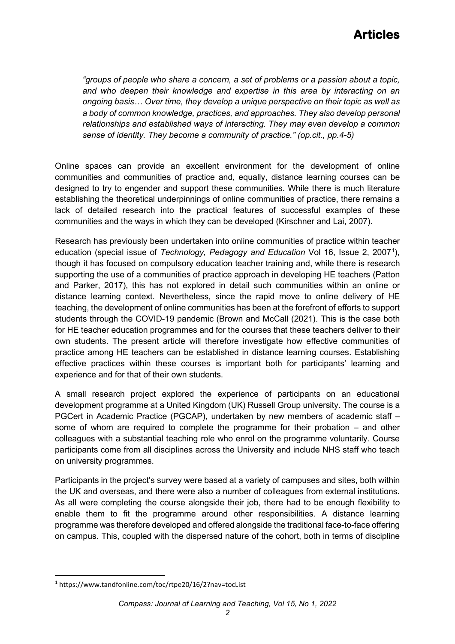*"groups of people who share a concern, a set of problems or a passion about a topic, and who deepen their knowledge and expertise in this area by interacting on an ongoing basis… Over time, they develop a unique perspective on their topic as well as a body of common knowledge, practices, and approaches. They also develop personal relationships and established ways of interacting. They may even develop a common sense of identity. They become a community of practice." (op.cit., pp.4-5)*

Online spaces can provide an excellent environment for the development of online communities and communities of practice and, equally, distance learning courses can be designed to try to engender and support these communities. While there is much literature establishing the theoretical underpinnings of online communities of practice, there remains a lack of detailed research into the practical features of successful examples of these communities and the ways in which they can be developed (Kirschner and Lai, 2007).

Research has previously been undertaken into online communities of practice within teacher education (special issue of *Technology, Pedagogy and Education Vol [1](#page-1-0)6*, Issue 2, 2007<sup>1</sup>), though it has focused on compulsory education teacher training and, while there is research supporting the use of a communities of practice approach in developing HE teachers (Patton and Parker, 2017), this has not explored in detail such communities within an online or distance learning context. Nevertheless, since the rapid move to online delivery of HE teaching, the development of online communities has been at the forefront of efforts to support students through the COVID-19 pandemic (Brown and McCall (2021). This is the case both for HE teacher education programmes and for the courses that these teachers deliver to their own students. The present article will therefore investigate how effective communities of practice among HE teachers can be established in distance learning courses. Establishing effective practices within these courses is important both for participants' learning and experience and for that of their own students.

A small research project explored the experience of participants on an educational development programme at a United Kingdom (UK) Russell Group university. The course is a PGCert in Academic Practice (PGCAP), undertaken by new members of academic staff – some of whom are required to complete the programme for their probation – and other colleagues with a substantial teaching role who enrol on the programme voluntarily. Course participants come from all disciplines across the University and include NHS staff who teach on university programmes.

Participants in the project's survey were based at a variety of campuses and sites, both within the UK and overseas, and there were also a number of colleagues from external institutions. As all were completing the course alongside their job, there had to be enough flexibility to enable them to fit the programme around other responsibilities. A distance learning programme was therefore developed and offered alongside the traditional face-to-face offering on campus. This, coupled with the dispersed nature of the cohort, both in terms of discipline

<span id="page-1-0"></span><sup>1</sup> https://www.tandfonline.com/toc/rtpe20/16/2?nav=tocList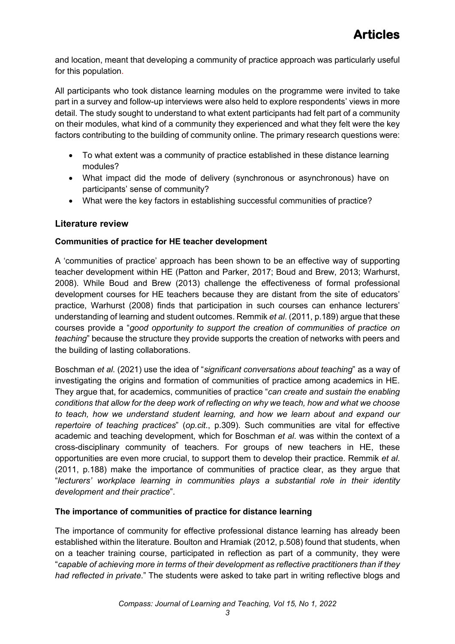and location, meant that developing a community of practice approach was particularly useful for this population.

All participants who took distance learning modules on the programme were invited to take part in a survey and follow-up interviews were also held to explore respondents' views in more detail. The study sought to understand to what extent participants had felt part of a community on their modules, what kind of a community they experienced and what they felt were the key factors contributing to the building of community online. The primary research questions were:

- To what extent was a community of practice established in these distance learning modules?
- What impact did the mode of delivery (synchronous or asynchronous) have on participants' sense of community?
- What were the key factors in establishing successful communities of practice?

## **Literature review**

### **Communities of practice for HE teacher development**

A 'communities of practice' approach has been shown to be an effective way of supporting teacher development within HE (Patton and Parker, 2017; Boud and Brew, 2013; Warhurst, 2008). While Boud and Brew (2013) challenge the effectiveness of formal professional development courses for HE teachers because they are distant from the site of educators' practice, Warhurst (2008) finds that participation in such courses can enhance lecturers' understanding of learning and student outcomes. Remmik *et al*. (2011, p.189) argue that these courses provide a "*good opportunity to support the creation of communities of practice on teaching*" because the structure they provide supports the creation of networks with peers and the building of lasting collaborations.

Boschman *et al*. (2021) use the idea of "*significant conversations about teaching*" as a way of investigating the origins and formation of communities of practice among academics in HE. They argue that, for academics, communities of practice "*can create and sustain the enabling conditions that allow for the deep work of reflecting on why we teach, how and what we choose to teach, how we understand student learning, and how we learn about and expand our repertoire of teaching practices*" (*op.cit*., p.309). Such communities are vital for effective academic and teaching development, which for Boschman *et al*. was within the context of a cross-disciplinary community of teachers. For groups of new teachers in HE, these opportunities are even more crucial, to support them to develop their practice. Remmik *et al*. (2011, p.188) make the importance of communities of practice clear, as they argue that "*lecturers' workplace learning in communities plays a substantial role in their identity development and their practice*".

### **The importance of communities of practice for distance learning**

The importance of community for effective professional distance learning has already been established within the literature. Boulton and Hramiak (2012, p.508) found that students, when on a teacher training course, participated in reflection as part of a community, they were "*capable of achieving more in terms of their development as reflective practitioners than if they had reflected in private*." The students were asked to take part in writing reflective blogs and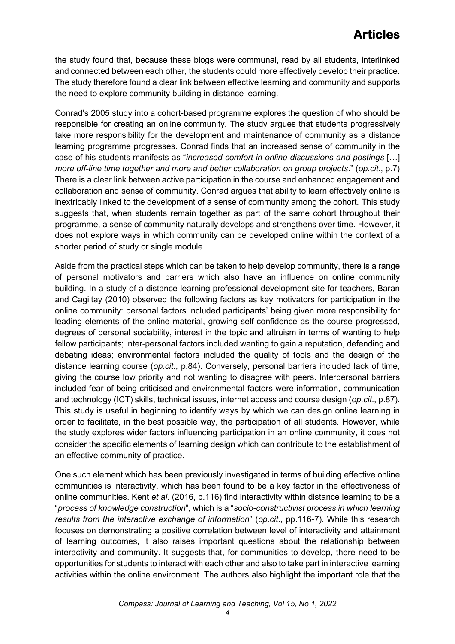the study found that, because these blogs were communal, read by all students, interlinked and connected between each other, the students could more effectively develop their practice. The study therefore found a clear link between effective learning and community and supports the need to explore community building in distance learning.

Conrad's 2005 study into a cohort-based programme explores the question of who should be responsible for creating an online community. The study argues that students progressively take more responsibility for the development and maintenance of community as a distance learning programme progresses. Conrad finds that an increased sense of community in the case of his students manifests as "*increased comfort in online discussions and postings* […] *more off-line time together and more and better collaboration on group projects*." (*op.cit*., p.7) There is a clear link between active participation in the course and enhanced engagement and collaboration and sense of community. Conrad argues that ability to learn effectively online is inextricably linked to the development of a sense of community among the cohort. This study suggests that, when students remain together as part of the same cohort throughout their programme, a sense of community naturally develops and strengthens over time. However, it does not explore ways in which community can be developed online within the context of a shorter period of study or single module.

Aside from the practical steps which can be taken to help develop community, there is a range of personal motivators and barriers which also have an influence on online community building. In a study of a distance learning professional development site for teachers, Baran and Cagiltay (2010) observed the following factors as key motivators for participation in the online community: personal factors included participants' being given more responsibility for leading elements of the online material, growing self-confidence as the course progressed, degrees of personal sociability, interest in the topic and altruism in terms of wanting to help fellow participants; inter-personal factors included wanting to gain a reputation, defending and debating ideas; environmental factors included the quality of tools and the design of the distance learning course (*op.cit*., p.84). Conversely, personal barriers included lack of time, giving the course low priority and not wanting to disagree with peers. Interpersonal barriers included fear of being criticised and environmental factors were information, communication and technology (ICT) skills, technical issues, internet access and course design (*op.cit*., p.87). This study is useful in beginning to identify ways by which we can design online learning in order to facilitate, in the best possible way, the participation of all students. However, while the study explores wider factors influencing participation in an online community, it does not consider the specific elements of learning design which can contribute to the establishment of an effective community of practice.

One such element which has been previously investigated in terms of building effective online communities is interactivity, which has been found to be a key factor in the effectiveness of online communities. Kent *et al*. (2016, p.116) find interactivity within distance learning to be a "*process of knowledge construction*", which is a "*socio-constructivist process in which learning results from the interactive exchange of information*" (*op.cit*., pp.116-7). While this research focuses on demonstrating a positive correlation between level of interactivity and attainment of learning outcomes, it also raises important questions about the relationship between interactivity and community. It suggests that, for communities to develop, there need to be opportunities for students to interact with each other and also to take part in interactive learning activities within the online environment. The authors also highlight the important role that the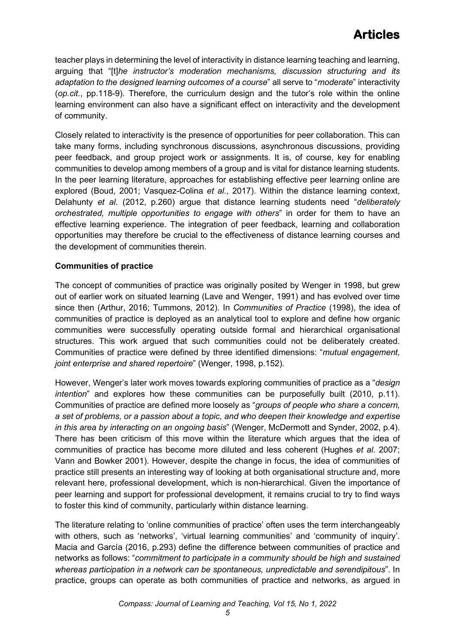teacher plays in determining the level of interactivity in distance learning teaching and learning, arguing that "[t]*he instructor's moderation mechanisms, discussion structuring and its adaptation to the designed learning outcomes of a course*" all serve to "*moderate*" interactivity (*op.cit*., pp.118-9). Therefore, the curriculum design and the tutor's role within the online learning environment can also have a significant effect on interactivity and the development of community.

Closely related to interactivity is the presence of opportunities for peer collaboration. This can take many forms, including synchronous discussions, asynchronous discussions, providing peer feedback, and group project work or assignments. It is, of course, key for enabling communities to develop among members of a group and is vital for distance learning students. In the peer learning literature, approaches for establishing effective peer learning online are explored (Boud, 2001; Vasquez-Colina *et al*., 2017). Within the distance learning context, Delahunty *et al*. (2012, p.260) argue that distance learning students need "*deliberately orchestrated, multiple opportunities to engage with others*" in order for them to have an effective learning experience. The integration of peer feedback, learning and collaboration opportunities may therefore be crucial to the effectiveness of distance learning courses and the development of communities therein.

### **Communities of practice**

The concept of communities of practice was originally posited by Wenger in 1998, but grew out of earlier work on situated learning (Lave and Wenger, 1991) and has evolved over time since then (Arthur, 2016; Tummons, 2012). In *Communities of Practice* (1998), the idea of communities of practice is deployed as an analytical tool to explore and define how organic communities were successfully operating outside formal and hierarchical organisational structures. This work argued that such communities could not be deliberately created. Communities of practice were defined by three identified dimensions: "*mutual engagement, joint enterprise and shared repertoire*" (Wenger, 1998, p.152).

However, Wenger's later work moves towards exploring communities of practice as a "*design intention*" and explores how these communities can be purposefully built (2010, p.11). Communities of practice are defined more loosely as "*groups of people who share a concern, a set of problems, or a passion about a topic, and who deepen their knowledge and expertise in this area by interacting on an ongoing basis*" (Wenger, McDermott and Synder, 2002, p.4). There has been criticism of this move within the literature which argues that the idea of communities of practice has become more diluted and less coherent (Hughes *et al*. 2007; Vann and Bowker 2001). However, despite the change in focus, the idea of communities of practice still presents an interesting way of looking at both organisational structure and, more relevant here, professional development, which is non-hierarchical. Given the importance of peer learning and support for professional development, it remains crucial to try to find ways to foster this kind of community, particularly within distance learning.

The literature relating to 'online communities of practice' often uses the term interchangeably with others, such as 'networks', 'virtual learning communities' and 'community of inquiry'. Macia and García (2016, p.293) define the difference between communities of practice and networks as follows: "*commitment to participate in a community should be high and sustained whereas participation in a network can be spontaneous, unpredictable and serendipitous*". In practice, groups can operate as both communities of practice and networks, as argued in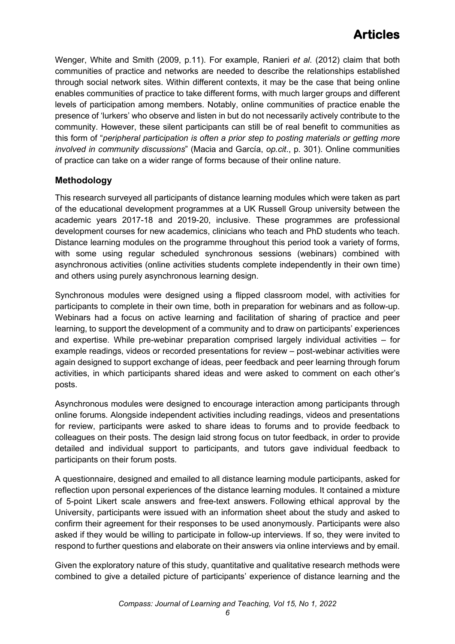Wenger, White and Smith (2009, p.11). For example, Ranieri *et al*. (2012) claim that both communities of practice and networks are needed to describe the relationships established through social network sites. Within different contexts, it may be the case that being online enables communities of practice to take different forms, with much larger groups and different levels of participation among members. Notably, online communities of practice enable the presence of 'lurkers' who observe and listen in but do not necessarily actively contribute to the community. However, these silent participants can still be of real benefit to communities as this form of "*peripheral participation is often a prior step to posting materials or getting more involved in community discussions*" (Macia and García, *op.cit*., p. 301). Online communities of practice can take on a wider range of forms because of their online nature.

## **Methodology**

This research surveyed all participants of distance learning modules which were taken as part of the educational development programmes at a UK Russell Group university between the academic years 2017-18 and 2019-20, inclusive. These programmes are professional development courses for new academics, clinicians who teach and PhD students who teach. Distance learning modules on the programme throughout this period took a variety of forms, with some using regular scheduled synchronous sessions (webinars) combined with asynchronous activities (online activities students complete independently in their own time) and others using purely asynchronous learning design.

Synchronous modules were designed using a flipped classroom model, with activities for participants to complete in their own time, both in preparation for webinars and as follow-up. Webinars had a focus on active learning and facilitation of sharing of practice and peer learning, to support the development of a community and to draw on participants' experiences and expertise. While pre-webinar preparation comprised largely individual activities – for example readings, videos or recorded presentations for review – post-webinar activities were again designed to support exchange of ideas, peer feedback and peer learning through forum activities, in which participants shared ideas and were asked to comment on each other's posts.

Asynchronous modules were designed to encourage interaction among participants through online forums. Alongside independent activities including readings, videos and presentations for review, participants were asked to share ideas to forums and to provide feedback to colleagues on their posts. The design laid strong focus on tutor feedback, in order to provide detailed and individual support to participants, and tutors gave individual feedback to participants on their forum posts.

A questionnaire, designed and emailed to all distance learning module participants, asked for reflection upon personal experiences of the distance learning modules. It contained a mixture of 5-point Likert scale answers and free-text answers. Following ethical approval by the University, participants were issued with an information sheet about the study and asked to confirm their agreement for their responses to be used anonymously. Participants were also asked if they would be willing to participate in follow-up interviews. If so, they were invited to respond to further questions and elaborate on their answers via online interviews and by email.

Given the exploratory nature of this study, quantitative and qualitative research methods were combined to give a detailed picture of participants' experience of distance learning and the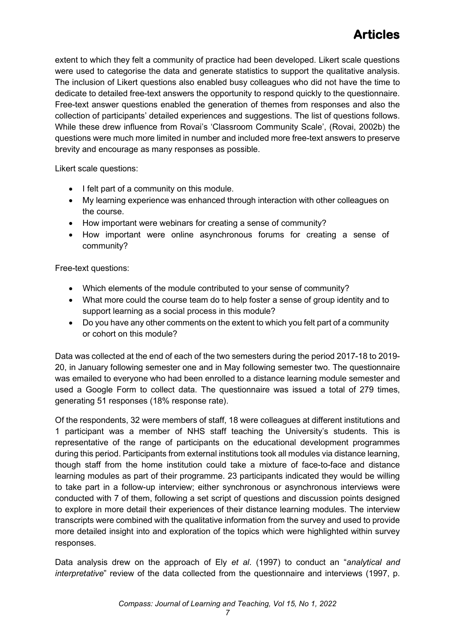extent to which they felt a community of practice had been developed. Likert scale questions were used to categorise the data and generate statistics to support the qualitative analysis. The inclusion of Likert questions also enabled busy colleagues who did not have the time to dedicate to detailed free-text answers the opportunity to respond quickly to the questionnaire. Free-text answer questions enabled the generation of themes from responses and also the collection of participants' detailed experiences and suggestions. The list of questions follows. While these drew influence from Rovai's 'Classroom Community Scale', (Rovai, 2002b) the questions were much more limited in number and included more free-text answers to preserve brevity and encourage as many responses as possible.

Likert scale questions:

- I felt part of a community on this module.
- My learning experience was enhanced through interaction with other colleagues on the course.
- How important were webinars for creating a sense of community?
- How important were online asynchronous forums for creating a sense of community?

Free-text questions:

- Which elements of the module contributed to your sense of community?
- What more could the course team do to help foster a sense of group identity and to support learning as a social process in this module?
- Do you have any other comments on the extent to which you felt part of a community or cohort on this module?

Data was collected at the end of each of the two semesters during the period 2017-18 to 2019- 20, in January following semester one and in May following semester two. The questionnaire was emailed to everyone who had been enrolled to a distance learning module semester and used a Google Form to collect data. The questionnaire was issued a total of 279 times, generating 51 responses (18% response rate).

Of the respondents, 32 were members of staff, 18 were colleagues at different institutions and 1 participant was a member of NHS staff teaching the University's students. This is representative of the range of participants on the educational development programmes during this period. Participants from external institutions took all modules via distance learning, though staff from the home institution could take a mixture of face-to-face and distance learning modules as part of their programme. 23 participants indicated they would be willing to take part in a follow-up interview; either synchronous or asynchronous interviews were conducted with 7 of them, following a set script of questions and discussion points designed to explore in more detail their experiences of their distance learning modules. The interview transcripts were combined with the qualitative information from the survey and used to provide more detailed insight into and exploration of the topics which were highlighted within survey responses.

Data analysis drew on the approach of Ely *et al*. (1997) to conduct an "*analytical and interpretative*" review of the data collected from the questionnaire and interviews (1997, p.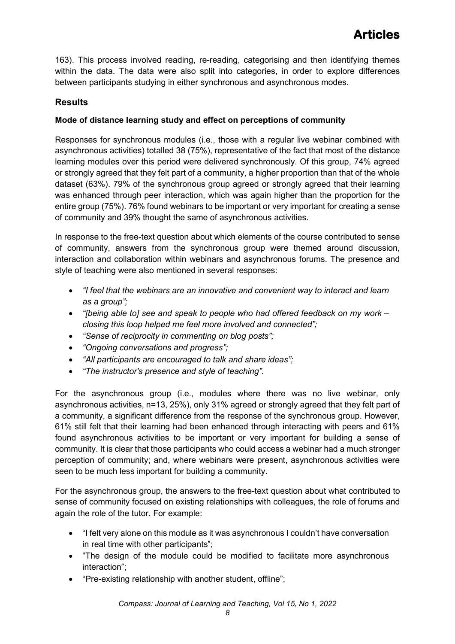163). This process involved reading, re-reading, categorising and then identifying themes within the data. The data were also split into categories, in order to explore differences between participants studying in either synchronous and asynchronous modes.

## **Results**

## **Mode of distance learning study and effect on perceptions of community**

Responses for synchronous modules (i.e., those with a regular live webinar combined with asynchronous activities) totalled 38 (75%), representative of the fact that most of the distance learning modules over this period were delivered synchronously. Of this group, 74% agreed or strongly agreed that they felt part of a community, a higher proportion than that of the whole dataset (63%). 79% of the synchronous group agreed or strongly agreed that their learning was enhanced through peer interaction, which was again higher than the proportion for the entire group (75%). 76% found webinars to be important or very important for creating a sense of community and 39% thought the same of asynchronous activities.

In response to the free-text question about which elements of the course contributed to sense of community, answers from the synchronous group were themed around discussion, interaction and collaboration within webinars and asynchronous forums. The presence and style of teaching were also mentioned in several responses:

- *"I feel that the webinars are an innovative and convenient way to interact and learn as a group";*
- *"[being able to] see and speak to people who had offered feedback on my work – closing this loop helped me feel more involved and connected";*
- *"Sense of reciprocity in commenting on blog posts";*
- *"Ongoing conversations and progress";*
- *"All participants are encouraged to talk and share ideas";*
- *"The instructor's presence and style of teaching".*

For the asynchronous group (i.e., modules where there was no live webinar, only asynchronous activities, n=13, 25%), only 31% agreed or strongly agreed that they felt part of a community, a significant difference from the response of the synchronous group. However, 61% still felt that their learning had been enhanced through interacting with peers and 61% found asynchronous activities to be important or very important for building a sense of community. It is clear that those participants who could access a webinar had a much stronger perception of community; and, where webinars were present, asynchronous activities were seen to be much less important for building a community.

For the asynchronous group, the answers to the free-text question about what contributed to sense of community focused on existing relationships with colleagues, the role of forums and again the role of the tutor. For example:

- "I felt very alone on this module as it was asynchronous I couldn't have conversation in real time with other participants";
- "The design of the module could be modified to facilitate more asynchronous interaction";
- "Pre-existing relationship with another student, offline";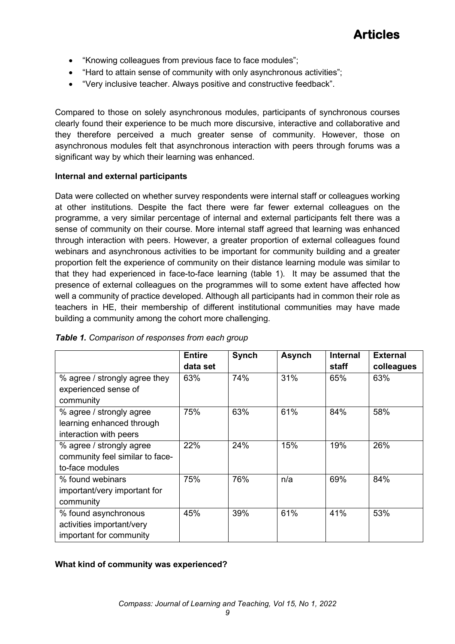- "Knowing colleagues from previous face to face modules";
- "Hard to attain sense of community with only asynchronous activities";
- "Very inclusive teacher. Always positive and constructive feedback".

Compared to those on solely asynchronous modules, participants of synchronous courses clearly found their experience to be much more discursive, interactive and collaborative and they therefore perceived a much greater sense of community. However, those on asynchronous modules felt that asynchronous interaction with peers through forums was a significant way by which their learning was enhanced.

#### **Internal and external participants**

Data were collected on whether survey respondents were internal staff or colleagues working at other institutions. Despite the fact there were far fewer external colleagues on the programme, a very similar percentage of internal and external participants felt there was a sense of community on their course. More internal staff agreed that learning was enhanced through interaction with peers. However, a greater proportion of external colleagues found webinars and asynchronous activities to be important for community building and a greater proportion felt the experience of community on their distance learning module was similar to that they had experienced in face-to-face learning (table 1). It may be assumed that the presence of external colleagues on the programmes will to some extent have affected how well a community of practice developed. Although all participants had in common their role as teachers in HE, their membership of different institutional communities may have made building a community among the cohort more challenging.

|                                                                                 | <b>Entire</b> | <b>Synch</b> | <b>Asynch</b> | <b>Internal</b> | <b>External</b> |
|---------------------------------------------------------------------------------|---------------|--------------|---------------|-----------------|-----------------|
|                                                                                 | data set      |              |               | staff           | colleagues      |
| % agree / strongly agree they<br>experienced sense of<br>community              | 63%           | 74%          | 31%           | 65%             | 63%             |
| % agree / strongly agree<br>learning enhanced through<br>interaction with peers | 75%           | 63%          | 61%           | 84%             | 58%             |
| % agree / strongly agree<br>community feel similar to face-<br>to-face modules  | 22%           | 24%          | 15%           | 19%             | 26%             |
| % found webinars<br>important/very important for<br>community                   | 75%           | 76%          | n/a           | 69%             | 84%             |
| % found asynchronous<br>activities important/very<br>important for community    | 45%           | 39%          | 61%           | 41%             | 53%             |

#### *Table 1. Comparison of responses from each group*

#### **What kind of community was experienced?**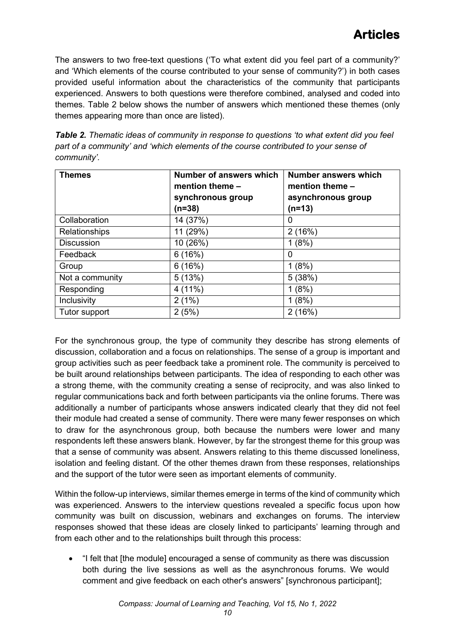The answers to two free-text questions ('To what extent did you feel part of a community?' and 'Which elements of the course contributed to your sense of community?') in both cases provided useful information about the characteristics of the community that participants experienced. Answers to both questions were therefore combined, analysed and coded into themes. Table 2 below shows the number of answers which mentioned these themes (only themes appearing more than once are listed).

| <b>Table 2.</b> Thematic ideas of community in response to questions 'to what extent did you feel |
|---------------------------------------------------------------------------------------------------|
| part of a community' and 'which elements of the course contributed to your sense of               |
| community'.                                                                                       |

| <b>Themes</b>     | Number of answers which<br>mention theme -<br>synchronous group<br>$(n=38)$ | <b>Number answers which</b><br>mention theme -<br>asynchronous group<br>$(n=13)$ |
|-------------------|-----------------------------------------------------------------------------|----------------------------------------------------------------------------------|
| Collaboration     | 14 (37%)                                                                    | 0                                                                                |
| Relationships     | 11 (29%)                                                                    | 2(16%)                                                                           |
| <b>Discussion</b> | 10 (26%)                                                                    | 1(8%)                                                                            |
| Feedback          | 6(16%)                                                                      | 0                                                                                |
| Group             | 6(16%)                                                                      | 1(8%)                                                                            |
| Not a community   | 5(13%)                                                                      | 5(38%)                                                                           |
| Responding        | 4(11%)                                                                      | 1(8%)                                                                            |
| Inclusivity       | 2(1%)                                                                       | 1(8%)                                                                            |
| Tutor support     | 2(5%)                                                                       | 2(16%)                                                                           |

For the synchronous group, the type of community they describe has strong elements of discussion, collaboration and a focus on relationships. The sense of a group is important and group activities such as peer feedback take a prominent role. The community is perceived to be built around relationships between participants. The idea of responding to each other was a strong theme, with the community creating a sense of reciprocity, and was also linked to regular communications back and forth between participants via the online forums. There was additionally a number of participants whose answers indicated clearly that they did not feel their module had created a sense of community. There were many fewer responses on which to draw for the asynchronous group, both because the numbers were lower and many respondents left these answers blank. However, by far the strongest theme for this group was that a sense of community was absent. Answers relating to this theme discussed loneliness, isolation and feeling distant. Of the other themes drawn from these responses, relationships and the support of the tutor were seen as important elements of community.

Within the follow-up interviews, similar themes emerge in terms of the kind of community which was experienced. Answers to the interview questions revealed a specific focus upon how community was built on discussion, webinars and exchanges on forums. The interview responses showed that these ideas are closely linked to participants' learning through and from each other and to the relationships built through this process:

• "I felt that [the module] encouraged a sense of community as there was discussion both during the live sessions as well as the asynchronous forums. We would comment and give feedback on each other's answers" [synchronous participant];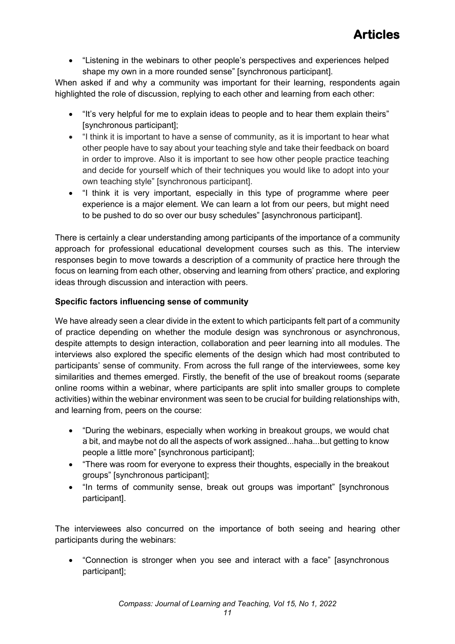• "Listening in the webinars to other people's perspectives and experiences helped shape my own in a more rounded sense" [synchronous participant].

When asked if and why a community was important for their learning, respondents again highlighted the role of discussion, replying to each other and learning from each other:

- "It's very helpful for me to explain ideas to people and to hear them explain theirs" [synchronous participant];
- "I think it is important to have a sense of community, as it is important to hear what other people have to say about your teaching style and take their feedback on board in order to improve. Also it is important to see how other people practice teaching and decide for yourself which of their techniques you would like to adopt into your own teaching style" [synchronous participant].
- "I think it is very important, especially in this type of programme where peer experience is a major element. We can learn a lot from our peers, but might need to be pushed to do so over our busy schedules" [asynchronous participant].

There is certainly a clear understanding among participants of the importance of a community approach for professional educational development courses such as this. The interview responses begin to move towards a description of a community of practice here through the focus on learning from each other, observing and learning from others' practice, and exploring ideas through discussion and interaction with peers.

## **Specific factors influencing sense of community**

We have already seen a clear divide in the extent to which participants felt part of a community of practice depending on whether the module design was synchronous or asynchronous, despite attempts to design interaction, collaboration and peer learning into all modules. The interviews also explored the specific elements of the design which had most contributed to participants' sense of community. From across the full range of the interviewees, some key similarities and themes emerged. Firstly, the benefit of the use of breakout rooms (separate online rooms within a webinar, where participants are split into smaller groups to complete activities) within the webinar environment was seen to be crucial for building relationships with, and learning from, peers on the course:

- "During the webinars, especially when working in breakout groups, we would chat a bit, and maybe not do all the aspects of work assigned...haha...but getting to know people a little more" [synchronous participant];
- "There was room for everyone to express their thoughts, especially in the breakout groups" [synchronous participant];
- "In terms of community sense, break out groups was important" [synchronous participant].

The interviewees also concurred on the importance of both seeing and hearing other participants during the webinars:

• "Connection is stronger when you see and interact with a face" [asynchronous participant];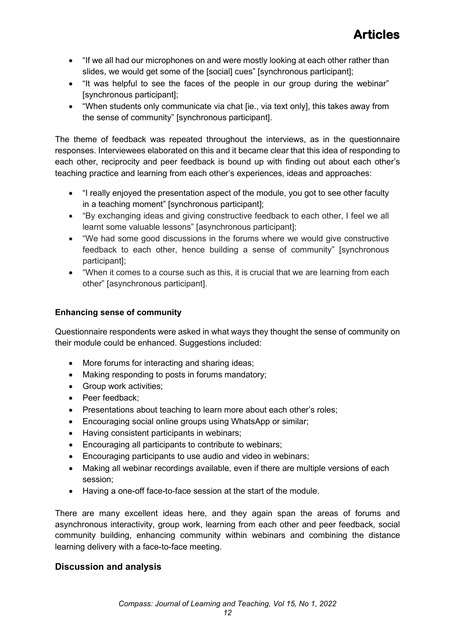- "If we all had our microphones on and were mostly looking at each other rather than slides, we would get some of the [social] cues" [synchronous participant];
- "It was helpful to see the faces of the people in our group during the webinar" [synchronous participant];
- "When students only communicate via chat [ie., via text only], this takes away from the sense of community" [synchronous participant].

The theme of feedback was repeated throughout the interviews, as in the questionnaire responses. Interviewees elaborated on this and it became clear that this idea of responding to each other, reciprocity and peer feedback is bound up with finding out about each other's teaching practice and learning from each other's experiences, ideas and approaches:

- "I really enjoyed the presentation aspect of the module, you got to see other faculty in a teaching moment" [synchronous participant];
- "By exchanging ideas and giving constructive feedback to each other, I feel we all learnt some valuable lessons" [asynchronous participant];
- "We had some good discussions in the forums where we would give constructive feedback to each other, hence building a sense of community" [synchronous participant];
- "When it comes to a course such as this, it is crucial that we are learning from each other" [asynchronous participant].

## **Enhancing sense of community**

Questionnaire respondents were asked in what ways they thought the sense of community on their module could be enhanced. Suggestions included:

- More forums for interacting and sharing ideas;
- Making responding to posts in forums mandatory;
- Group work activities;
- Peer feedback;
- Presentations about teaching to learn more about each other's roles;
- Encouraging social online groups using WhatsApp or similar;
- Having consistent participants in webinars;
- Encouraging all participants to contribute to webinars;
- Encouraging participants to use audio and video in webinars;
- Making all webinar recordings available, even if there are multiple versions of each session;
- Having a one-off face-to-face session at the start of the module.

There are many excellent ideas here, and they again span the areas of forums and asynchronous interactivity, group work, learning from each other and peer feedback, social community building, enhancing community within webinars and combining the distance learning delivery with a face-to-face meeting.

### **Discussion and analysis**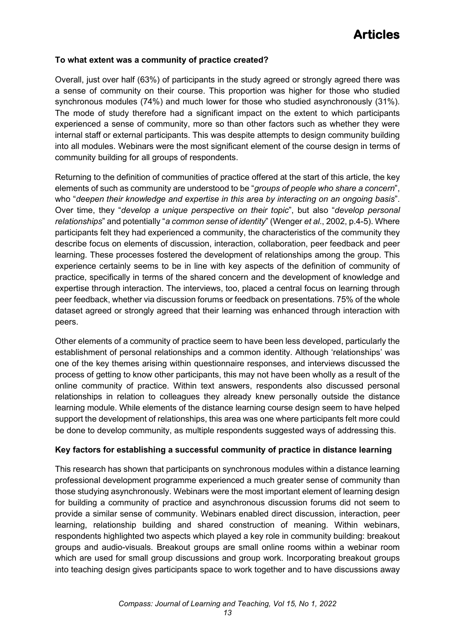#### **To what extent was a community of practice created?**

Overall, just over half (63%) of participants in the study agreed or strongly agreed there was a sense of community on their course. This proportion was higher for those who studied synchronous modules (74%) and much lower for those who studied asynchronously (31%). The mode of study therefore had a significant impact on the extent to which participants experienced a sense of community, more so than other factors such as whether they were internal staff or external participants. This was despite attempts to design community building into all modules. Webinars were the most significant element of the course design in terms of community building for all groups of respondents.

Returning to the definition of communities of practice offered at the start of this article, the key elements of such as community are understood to be "*groups of people who share a concern*", who "*deepen their knowledge and expertise in this area by interacting on an ongoing basis*". Over time, they "*develop a unique perspective on their topic*", but also "*develop personal relationships*" and potentially "*a common sense of identity*" (Wenger *et al*., 2002, p.4-5). Where participants felt they had experienced a community, the characteristics of the community they describe focus on elements of discussion, interaction, collaboration, peer feedback and peer learning. These processes fostered the development of relationships among the group. This experience certainly seems to be in line with key aspects of the definition of community of practice, specifically in terms of the shared concern and the development of knowledge and expertise through interaction. The interviews, too, placed a central focus on learning through peer feedback, whether via discussion forums or feedback on presentations. 75% of the whole dataset agreed or strongly agreed that their learning was enhanced through interaction with peers.

Other elements of a community of practice seem to have been less developed, particularly the establishment of personal relationships and a common identity. Although 'relationships' was one of the key themes arising within questionnaire responses, and interviews discussed the process of getting to know other participants, this may not have been wholly as a result of the online community of practice. Within text answers, respondents also discussed personal relationships in relation to colleagues they already knew personally outside the distance learning module. While elements of the distance learning course design seem to have helped support the development of relationships, this area was one where participants felt more could be done to develop community, as multiple respondents suggested ways of addressing this.

### **Key factors for establishing a successful community of practice in distance learning**

This research has shown that participants on synchronous modules within a distance learning professional development programme experienced a much greater sense of community than those studying asynchronously. Webinars were the most important element of learning design for building a community of practice and asynchronous discussion forums did not seem to provide a similar sense of community. Webinars enabled direct discussion, interaction, peer learning, relationship building and shared construction of meaning. Within webinars, respondents highlighted two aspects which played a key role in community building: breakout groups and audio-visuals. Breakout groups are small online rooms within a webinar room which are used for small group discussions and group work. Incorporating breakout groups into teaching design gives participants space to work together and to have discussions away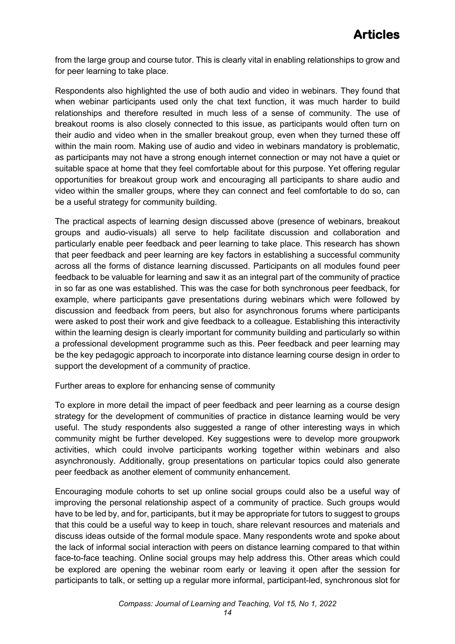from the large group and course tutor. This is clearly vital in enabling relationships to grow and for peer learning to take place.

Respondents also highlighted the use of both audio and video in webinars. They found that when webinar participants used only the chat text function, it was much harder to build relationships and therefore resulted in much less of a sense of community. The use of breakout rooms is also closely connected to this issue, as participants would often turn on their audio and video when in the smaller breakout group, even when they turned these off within the main room. Making use of audio and video in webinars mandatory is problematic, as participants may not have a strong enough internet connection or may not have a quiet or suitable space at home that they feel comfortable about for this purpose. Yet offering regular opportunities for breakout group work and encouraging all participants to share audio and video within the smaller groups, where they can connect and feel comfortable to do so, can be a useful strategy for community building.

The practical aspects of learning design discussed above (presence of webinars, breakout groups and audio-visuals) all serve to help facilitate discussion and collaboration and particularly enable peer feedback and peer learning to take place. This research has shown that peer feedback and peer learning are key factors in establishing a successful community across all the forms of distance learning discussed. Participants on all modules found peer feedback to be valuable for learning and saw it as an integral part of the community of practice in so far as one was established. This was the case for both synchronous peer feedback, for example, where participants gave presentations during webinars which were followed by discussion and feedback from peers, but also for asynchronous forums where participants were asked to post their work and give feedback to a colleague. Establishing this interactivity within the learning design is clearly important for community building and particularly so within a professional development programme such as this. Peer feedback and peer learning may be the key pedagogic approach to incorporate into distance learning course design in order to support the development of a community of practice.

Further areas to explore for enhancing sense of community

To explore in more detail the impact of peer feedback and peer learning as a course design strategy for the development of communities of practice in distance learning would be very useful. The study respondents also suggested a range of other interesting ways in which community might be further developed. Key suggestions were to develop more groupwork activities, which could involve participants working together within webinars and also asynchronously. Additionally, group presentations on particular topics could also generate peer feedback as another element of community enhancement.

Encouraging module cohorts to set up online social groups could also be a useful way of improving the personal relationship aspect of a community of practice. Such groups would have to be led by, and for, participants, but it may be appropriate for tutors to suggest to groups that this could be a useful way to keep in touch, share relevant resources and materials and discuss ideas outside of the formal module space. Many respondents wrote and spoke about the lack of informal social interaction with peers on distance learning compared to that within face-to-face teaching. Online social groups may help address this. Other areas which could be explored are opening the webinar room early or leaving it open after the session for participants to talk, or setting up a regular more informal, participant-led, synchronous slot for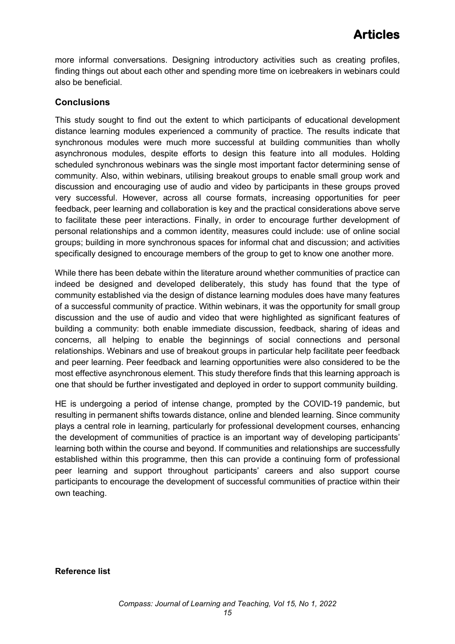more informal conversations. Designing introductory activities such as creating profiles, finding things out about each other and spending more time on icebreakers in webinars could also be beneficial.

## **Conclusions**

This study sought to find out the extent to which participants of educational development distance learning modules experienced a community of practice. The results indicate that synchronous modules were much more successful at building communities than wholly asynchronous modules, despite efforts to design this feature into all modules. Holding scheduled synchronous webinars was the single most important factor determining sense of community. Also, within webinars, utilising breakout groups to enable small group work and discussion and encouraging use of audio and video by participants in these groups proved very successful. However, across all course formats, increasing opportunities for peer feedback, peer learning and collaboration is key and the practical considerations above serve to facilitate these peer interactions. Finally, in order to encourage further development of personal relationships and a common identity, measures could include: use of online social groups; building in more synchronous spaces for informal chat and discussion; and activities specifically designed to encourage members of the group to get to know one another more.

While there has been debate within the literature around whether communities of practice can indeed be designed and developed deliberately, this study has found that the type of community established via the design of distance learning modules does have many features of a successful community of practice. Within webinars, it was the opportunity for small group discussion and the use of audio and video that were highlighted as significant features of building a community: both enable immediate discussion, feedback, sharing of ideas and concerns, all helping to enable the beginnings of social connections and personal relationships. Webinars and use of breakout groups in particular help facilitate peer feedback and peer learning. Peer feedback and learning opportunities were also considered to be the most effective asynchronous element. This study therefore finds that this learning approach is one that should be further investigated and deployed in order to support community building.

HE is undergoing a period of intense change, prompted by the COVID-19 pandemic, but resulting in permanent shifts towards distance, online and blended learning. Since community plays a central role in learning, particularly for professional development courses, enhancing the development of communities of practice is an important way of developing participants' learning both within the course and beyond. If communities and relationships are successfully established within this programme, then this can provide a continuing form of professional peer learning and support throughout participants' careers and also support course participants to encourage the development of successful communities of practice within their own teaching.

**Reference list**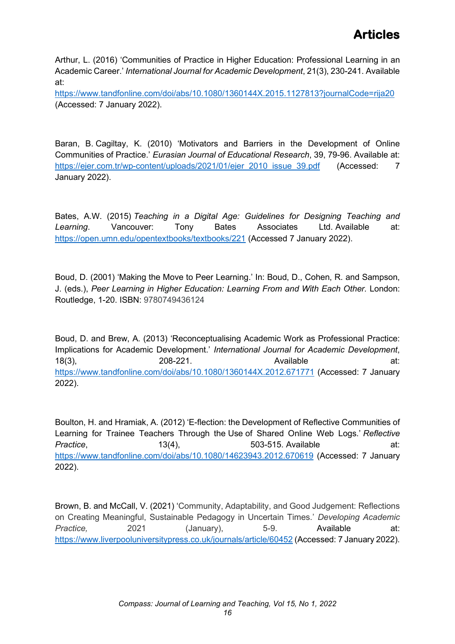Arthur, L. (2016) 'Communities of Practice in Higher Education: Professional Learning in an Academic Career.' *International Journal for Academic Development*, 21(3), 230-241. Available at:

<https://www.tandfonline.com/doi/abs/10.1080/1360144X.2015.1127813?journalCode=rija20> (Accessed: 7 January 2022).

Baran, B. Cagiltay, K. (2010) 'Motivators and Barriers in the Development of Online Communities of Practice.' *Eurasian Journal of Educational Research*, 39, 79-96. Available at: [https://ejer.com.tr/wp-content/uploads/2021/01/ejer\\_2010\\_issue\\_39.pdf](https://ejer.com.tr/wp-content/uploads/2021/01/ejer_2010_issue_39.pdf) (Accessed: 7 January 2022).

Bates, A.W. (2015) *Teaching in a Digital Age: Guidelines for Designing Teaching and Learning*. Vancouver: Tony Bates Associates Ltd. Available at: <https://open.umn.edu/opentextbooks/textbooks/221> (Accessed 7 January 2022).

Boud, D. (2001) 'Making the Move to Peer Learning.' In: Boud, D., Cohen, R. and Sampson, J. (eds.), *Peer Learning in Higher Education: Learning From and With Each Other.* London: Routledge, 1-20. ISBN: 9780749436124

Boud, D. and Brew, A. (2013) 'Reconceptualising Academic Work as Professional Practice: Implications for Academic Development.' *International Journal for Academic Development*, 18(3), 208-221. Available at: <https://www.tandfonline.com/doi/abs/10.1080/1360144X.2012.671771> (Accessed: 7 January 2022).

Boulton, H. and Hramiak, A. (2012) 'E-flection: the Development of Reflective Communities of Learning for Trainee Teachers Through the Use of Shared Online Web Logs.' *Reflective*  **Practice.** 13(4), 13(4), 503-515. Available at: <https://www.tandfonline.com/doi/abs/10.1080/14623943.2012.670619> (Accessed: 7 January 2022).

Brown, B. and McCall, V. (2021) 'Community, Adaptability, and Good Judgement: Reflections on Creating Meaningful, Sustainable Pedagogy in Uncertain Times.' *Developing Academic*  Practice, 2021 (January), 5-9. Available at: <https://www.liverpooluniversitypress.co.uk/journals/article/60452> (Accessed: 7 January 2022).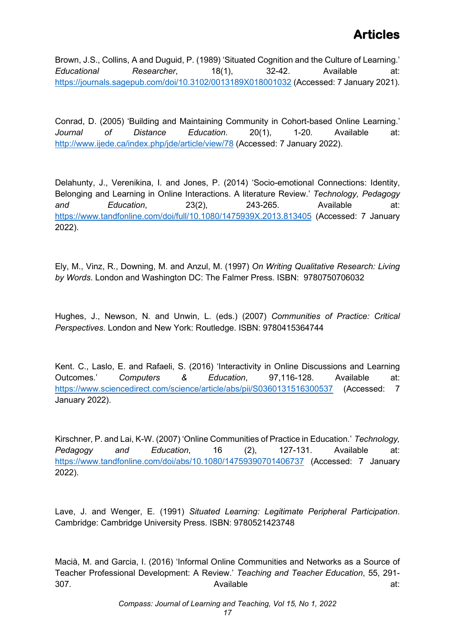Brown, J.S., Collins, A and Duguid, P. (1989) 'Situated Cognition and the Culture of Learning.' *Educational Researcher*, 18(1), 32-42. Available at: <https://journals.sagepub.com/doi/10.3102/0013189X018001032> (Accessed: 7 January 2021).

Conrad, D. (2005) 'Building and Maintaining Community in Cohort-based Online Learning.' *Journal of Distance Education*. 20(1), 1-20. Available at: <http://www.ijede.ca/index.php/jde/article/view/78> (Accessed: 7 January 2022).

Delahunty, J., Verenikina, I. and Jones, P. (2014) 'Socio-emotional Connections: Identity, Belonging and Learning in Online Interactions. A literature Review.' *Technology, Pedagogy and Education*, 23(2), 243-265. Available at: <https://www.tandfonline.com/doi/full/10.1080/1475939X.2013.813405> (Accessed: 7 January 2022).

Ely, M., Vinz, R., Downing, M. and Anzul, M. (1997) *On Writing Qualitative Research: Living by Words*. London and Washington DC: The Falmer Press. ISBN: 9780750706032

Hughes, J., Newson, N. and Unwin, L. (eds.) (2007) *Communities of Practice: Critical Perspectives*. London and New York: Routledge. ISBN: 9780415364744

Kent. C., Laslo, E. and Rafaeli, S. (2016) 'Interactivity in Online Discussions and Learning Outcomes.' *Computers & Education*, 97,116-128. Available at: <https://www.sciencedirect.com/science/article/abs/pii/S0360131516300537> (Accessed: 7 January 2022).

Kirschner, P. and Lai, K-W. (2007) 'Online Communities of Practice in Education.' *Technology, Pedagogy and Education*, 16 (2), 127-131. Available at: <https://www.tandfonline.com/doi/abs/10.1080/14759390701406737> (Accessed: 7 January 2022).

Lave, J. and Wenger, E. (1991) *Situated Learning: Legitimate Peripheral Participation*. Cambridge: Cambridge University Press. ISBN: 9780521423748

Macià, M. and Garcia, I. (2016) 'Informal Online Communities and Networks as a Source of Teacher Professional Development: A Review.' *Teaching and Teacher Education*, 55, 291- 307. Available at: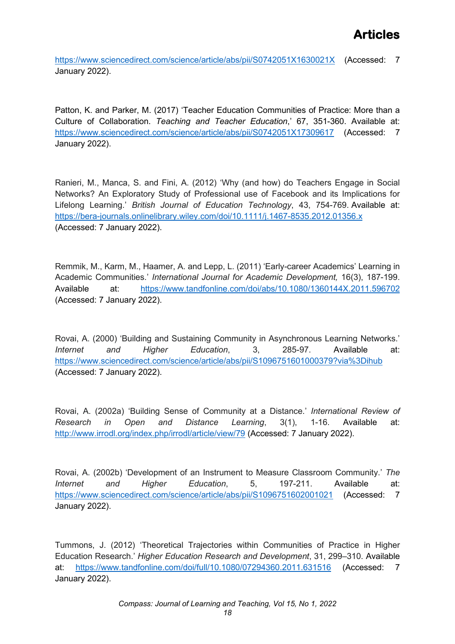<https://www.sciencedirect.com/science/article/abs/pii/S0742051X1630021X> (Accessed: 7 January 2022).

Patton, K. and Parker, M. (2017) 'Teacher Education Communities of Practice: More than a Culture of Collaboration. *Teaching and Teacher Education*,' 67, 351-360. Available at: <https://www.sciencedirect.com/science/article/abs/pii/S0742051X17309617> (Accessed: 7 January 2022).

Ranieri, M., Manca, S. and Fini, A. (2012) 'Why (and how) do Teachers Engage in Social Networks? An Exploratory Study of Professional use of Facebook and its Implications for Lifelong Learning.' *British Journal of Education Technology*, 43, 754-769. Available at: <https://bera-journals.onlinelibrary.wiley.com/doi/10.1111/j.1467-8535.2012.01356.x> (Accessed: 7 January 2022).

Remmik, M., Karm, M., Haamer, A. and Lepp, L. (2011) 'Early-career Academics' Learning in Academic Communities.' *International Journal for Academic Development,* 16(3), 187-199. Available at: <https://www.tandfonline.com/doi/abs/10.1080/1360144X.2011.596702> (Accessed: 7 January 2022).

Rovai, A. (2000) 'Building and Sustaining Community in Asynchronous Learning Networks.' *Internet and Higher Education*, 3, 285-97. Available at: <https://www.sciencedirect.com/science/article/abs/pii/S1096751601000379?via%3Dihub> (Accessed: 7 January 2022).

Rovai, A. (2002a) 'Building Sense of Community at a Distance.' *International Review of Research in Open and Distance Learning*, 3(1), 1-16. Available at: <http://www.irrodl.org/index.php/irrodl/article/view/79> (Accessed: 7 January 2022).

Rovai, A. (2002b) 'Development of an Instrument to Measure Classroom Community.' *The Internet and Higher Education*, 5, 197-211. Available at: <https://www.sciencedirect.com/science/article/abs/pii/S1096751602001021> (Accessed: 7 January 2022).

Tummons, J. (2012) 'Theoretical Trajectories within Communities of Practice in Higher Education Research.' *Higher Education Research and Development*, 31, 299–310. Available at: <https://www.tandfonline.com/doi/full/10.1080/07294360.2011.631516> (Accessed: 7 January 2022).